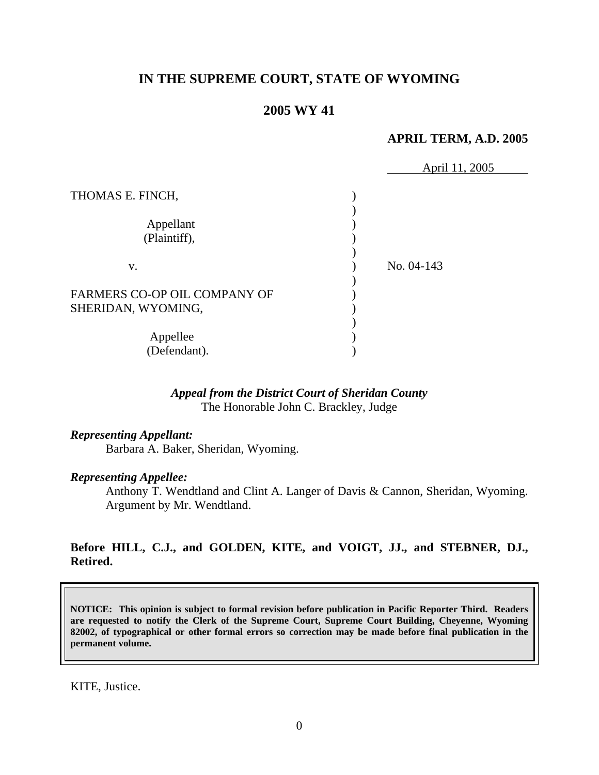# **IN THE SUPREME COURT, STATE OF WYOMING**

## **2005 WY 41**

### **APRIL TERM, A.D. 2005**

|                                                           | April 11, 2005 |  |
|-----------------------------------------------------------|----------------|--|
| THOMAS E. FINCH,                                          |                |  |
| Appellant                                                 |                |  |
| (Plaintiff),                                              |                |  |
| V.                                                        | No. 04-143     |  |
| <b>FARMERS CO-OP OIL COMPANY OF</b><br>SHERIDAN, WYOMING, |                |  |
| Appellee<br>(Defendant).                                  |                |  |

### *Appeal from the District Court of Sheridan County* The Honorable John C. Brackley, Judge

#### *Representing Appellant:*

Barbara A. Baker, Sheridan, Wyoming.

### *Representing Appellee:*

Anthony T. Wendtland and Clint A. Langer of Davis & Cannon, Sheridan, Wyoming. Argument by Mr. Wendtland.

## **Before HILL, C.J., and GOLDEN, KITE, and VOIGT, JJ., and STEBNER, DJ., Retired.**

**NOTICE: This opinion is subject to formal revision before publication in Pacific Reporter Third. Readers are requested to notify the Clerk of the Supreme Court, Supreme Court Building, Cheyenne, Wyoming 82002, of typographical or other formal errors so correction may be made before final publication in the permanent volume.** 

KITE, Justice.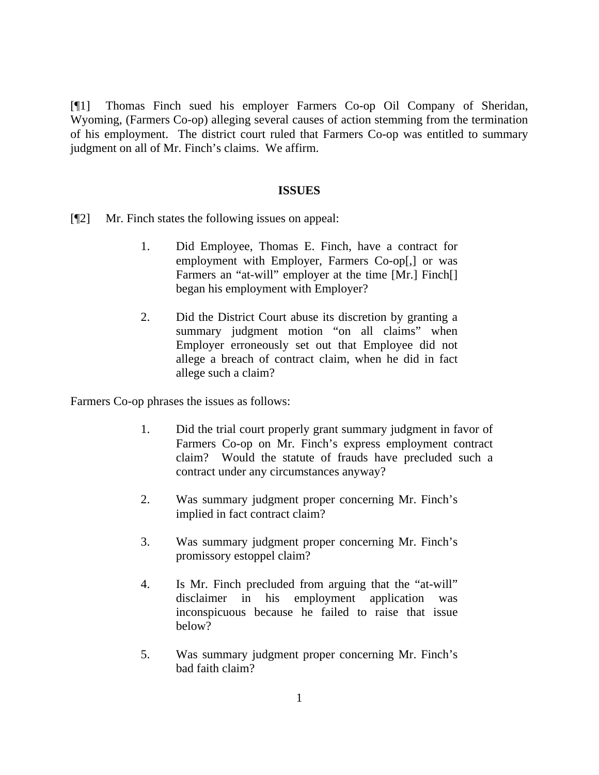[¶1] Thomas Finch sued his employer Farmers Co-op Oil Company of Sheridan, Wyoming, (Farmers Co-op) alleging several causes of action stemming from the termination of his employment. The district court ruled that Farmers Co-op was entitled to summary judgment on all of Mr. Finch's claims. We affirm.

#### **ISSUES**

- [¶2] Mr. Finch states the following issues on appeal:
	- 1. Did Employee, Thomas E. Finch, have a contract for employment with Employer, Farmers Co-op[,] or was Farmers an "at-will" employer at the time [Mr.] Finch[] began his employment with Employer?
	- 2. Did the District Court abuse its discretion by granting a summary judgment motion "on all claims" when Employer erroneously set out that Employee did not allege a breach of contract claim, when he did in fact allege such a claim?

Farmers Co-op phrases the issues as follows:

- 1. Did the trial court properly grant summary judgment in favor of Farmers Co-op on Mr. Finch's express employment contract claim? Would the statute of frauds have precluded such a contract under any circumstances anyway?
- 2. Was summary judgment proper concerning Mr. Finch's implied in fact contract claim?
- 3. Was summary judgment proper concerning Mr. Finch's promissory estoppel claim?
- 4. Is Mr. Finch precluded from arguing that the "at-will" disclaimer in his employment application was inconspicuous because he failed to raise that issue below?
- 5. Was summary judgment proper concerning Mr. Finch's bad faith claim?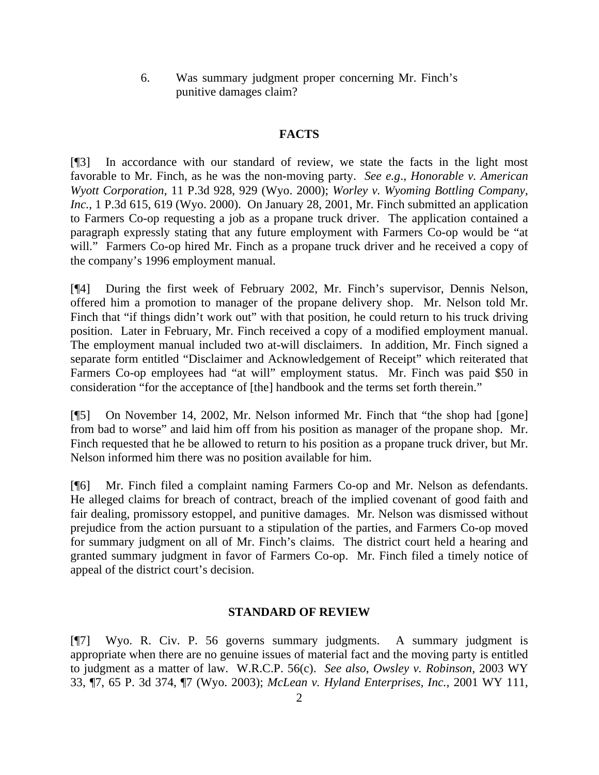6. Was summary judgment proper concerning Mr. Finch's punitive damages claim?

### **FACTS**

[¶3] In accordance with our standard of review, we state the facts in the light most favorable to Mr. Finch, as he was the non-moving party. *See e.g*., *Honorable v. American Wyott Corporation,* 11 P.3d 928, 929 (Wyo. 2000); *Worley v. Wyoming Bottling Company, Inc.,* 1 P.3d 615, 619 (Wyo. 2000). On January 28, 2001, Mr. Finch submitted an application to Farmers Co-op requesting a job as a propane truck driver. The application contained a paragraph expressly stating that any future employment with Farmers Co-op would be "at will." Farmers Co-op hired Mr. Finch as a propane truck driver and he received a copy of the company's 1996 employment manual.

[¶4] During the first week of February 2002, Mr. Finch's supervisor, Dennis Nelson, offered him a promotion to manager of the propane delivery shop. Mr. Nelson told Mr. Finch that "if things didn't work out" with that position, he could return to his truck driving position. Later in February, Mr. Finch received a copy of a modified employment manual. The employment manual included two at-will disclaimers. In addition, Mr. Finch signed a separate form entitled "Disclaimer and Acknowledgement of Receipt" which reiterated that Farmers Co-op employees had "at will" employment status. Mr. Finch was paid \$50 in consideration "for the acceptance of [the] handbook and the terms set forth therein."

[¶5] On November 14, 2002, Mr. Nelson informed Mr. Finch that "the shop had [gone] from bad to worse" and laid him off from his position as manager of the propane shop. Mr. Finch requested that he be allowed to return to his position as a propane truck driver, but Mr. Nelson informed him there was no position available for him.

[¶6] Mr. Finch filed a complaint naming Farmers Co-op and Mr. Nelson as defendants. He alleged claims for breach of contract, breach of the implied covenant of good faith and fair dealing, promissory estoppel, and punitive damages. Mr. Nelson was dismissed without prejudice from the action pursuant to a stipulation of the parties, and Farmers Co-op moved for summary judgment on all of Mr. Finch's claims. The district court held a hearing and granted summary judgment in favor of Farmers Co-op. Mr. Finch filed a timely notice of appeal of the district court's decision.

#### **STANDARD OF REVIEW**

[¶7] Wyo. R. Civ. P. 56 governs summary judgments. A summary judgment is appropriate when there are no genuine issues of material fact and the moving party is entitled to judgment as a matter of law. W.R.C.P. 56(c). *See also*, *Owsley v. Robinson,* 2003 WY 33, ¶7, 65 P. 3d 374, ¶7 (Wyo. 2003); *McLean v. Hyland Enterprises, Inc.,* 2001 WY 111,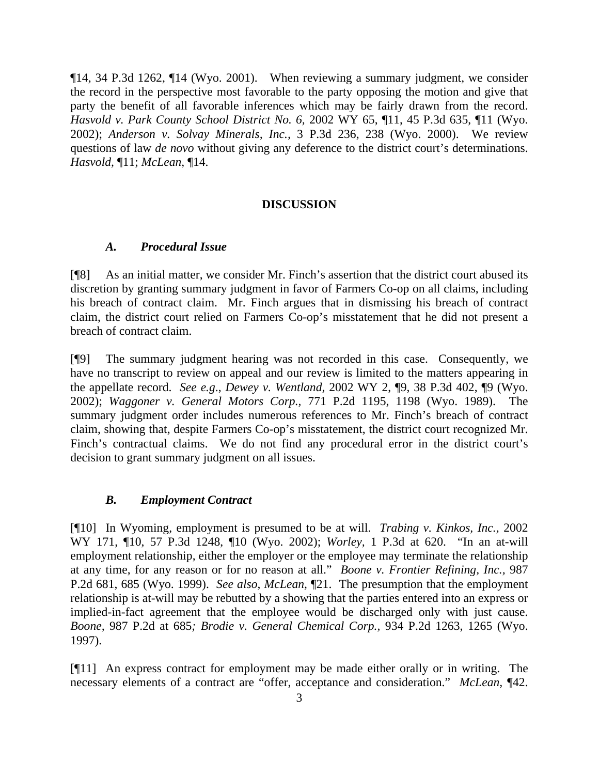¶14, 34 P.3d 1262, ¶14 (Wyo. 2001). When reviewing a summary judgment, we consider the record in the perspective most favorable to the party opposing the motion and give that party the benefit of all favorable inferences which may be fairly drawn from the record. *Hasvold v. Park County School District No. 6,* 2002 WY 65, ¶11, 45 P.3d 635, ¶11 (Wyo. 2002); *Anderson v. Solvay Minerals, Inc.,* 3 P.3d 236, 238 (Wyo. 2000). We review questions of law *de novo* without giving any deference to the district court's determinations. *Hasvold,* ¶11; *McLean,* ¶14.

#### **DISCUSSION**

#### *A.**Procedural Issue*

[¶8] As an initial matter, we consider Mr. Finch's assertion that the district court abused its discretion by granting summary judgment in favor of Farmers Co-op on all claims, including his breach of contract claim. Mr. Finch argues that in dismissing his breach of contract claim, the district court relied on Farmers Co-op's misstatement that he did not present a breach of contract claim.

[¶9] The summary judgment hearing was not recorded in this case. Consequently, we have no transcript to review on appeal and our review is limited to the matters appearing in the appellate record. *See e.g*., *Dewey v. Wentland,* 2002 WY 2, ¶9, 38 P.3d 402, ¶9 (Wyo. 2002); *Waggoner v. General Motors Corp.,* 771 P.2d 1195, 1198 (Wyo. 1989). The summary judgment order includes numerous references to Mr. Finch's breach of contract claim, showing that, despite Farmers Co-op's misstatement, the district court recognized Mr. Finch's contractual claims. We do not find any procedural error in the district court's decision to grant summary judgment on all issues.

#### *B. Employment Contract*

[¶10] In Wyoming, employment is presumed to be at will. *Trabing v. Kinkos, Inc.,* 2002 WY 171, ¶10, 57 P.3d 1248, ¶10 (Wyo. 2002); *Worley,* 1 P.3d at 620. "In an at-will employment relationship, either the employer or the employee may terminate the relationship at any time, for any reason or for no reason at all." *Boone v. Frontier Refining, Inc.,* 987 P.2d 681, 685 (Wyo. 1999). *See also*, *McLean,* ¶21. The presumption that the employment relationship is at-will may be rebutted by a showing that the parties entered into an express or implied-in-fact agreement that the employee would be discharged only with just cause. *Boone,* 987 P.2d at 685*; Brodie v. General Chemical Corp.,* 934 P.2d 1263, 1265 (Wyo. 1997).

[¶11] An express contract for employment may be made either orally or in writing. The necessary elements of a contract are "offer, acceptance and consideration." *McLean,* ¶42.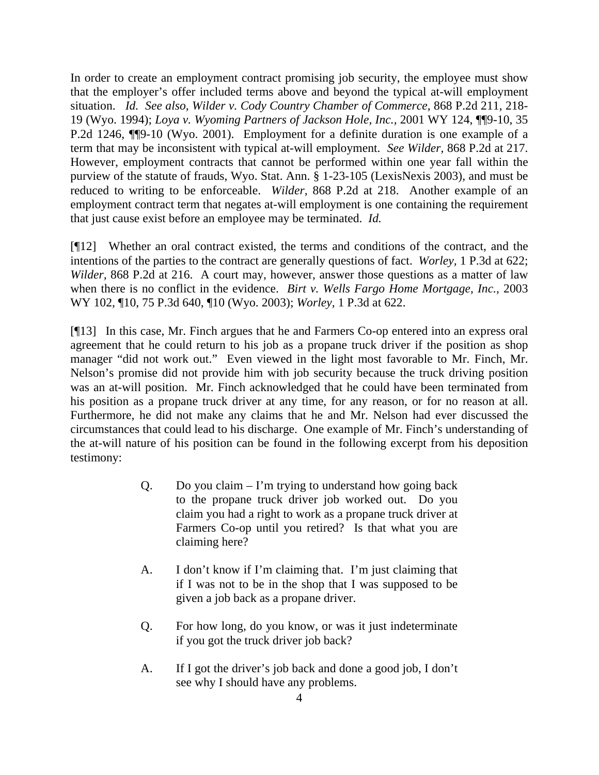In order to create an employment contract promising job security, the employee must show that the employer's offer included terms above and beyond the typical at-will employment situation. *Id. See also, Wilder v. Cody Country Chamber of Commerce*, 868 P.2d 211, 218- 19 (Wyo. 1994); *Loya v. Wyoming Partners of Jackson Hole, Inc.,* 2001 WY 124, ¶¶9-10, 35 P.2d 1246, ¶¶9-10 (Wyo. 2001). Employment for a definite duration is one example of a term that may be inconsistent with typical at-will employment. *See Wilder,* 868 P.2d at 217. However, employment contracts that cannot be performed within one year fall within the purview of the statute of frauds, Wyo. Stat. Ann. § 1-23-105 (LexisNexis 2003), and must be reduced to writing to be enforceable. *Wilder,* 868 P.2d at 218. Another example of an employment contract term that negates at-will employment is one containing the requirement that just cause exist before an employee may be terminated. *Id.* 

[¶12]Whether an oral contract existed, the terms and conditions of the contract, and the intentions of the parties to the contract are generally questions of fact. *Worley,* 1 P.3d at 622; *Wilder,* 868 P.2d at 216. A court may, however, answer those questions as a matter of law when there is no conflict in the evidence. *Birt v. Wells Fargo Home Mortgage, Inc.,* 2003 WY 102, ¶10, 75 P.3d 640, ¶10 (Wyo. 2003); *Worley,* 1 P.3d at 622.

[¶13] In this case, Mr. Finch argues that he and Farmers Co-op entered into an express oral agreement that he could return to his job as a propane truck driver if the position as shop manager "did not work out." Even viewed in the light most favorable to Mr. Finch, Mr. Nelson's promise did not provide him with job security because the truck driving position was an at-will position. Mr. Finch acknowledged that he could have been terminated from his position as a propane truck driver at any time, for any reason, or for no reason at all. Furthermore, he did not make any claims that he and Mr. Nelson had ever discussed the circumstances that could lead to his discharge. One example of Mr. Finch's understanding of the at-will nature of his position can be found in the following excerpt from his deposition testimony:

- Q. Do you claim  $-$  I'm trying to understand how going back to the propane truck driver job worked out. Do you claim you had a right to work as a propane truck driver at Farmers Co-op until you retired? Is that what you are claiming here?
- A. I don't know if I'm claiming that. I'm just claiming that if I was not to be in the shop that I was supposed to be given a job back as a propane driver.
- Q. For how long, do you know, or was it just indeterminate if you got the truck driver job back?
- A. If I got the driver's job back and done a good job, I don't see why I should have any problems.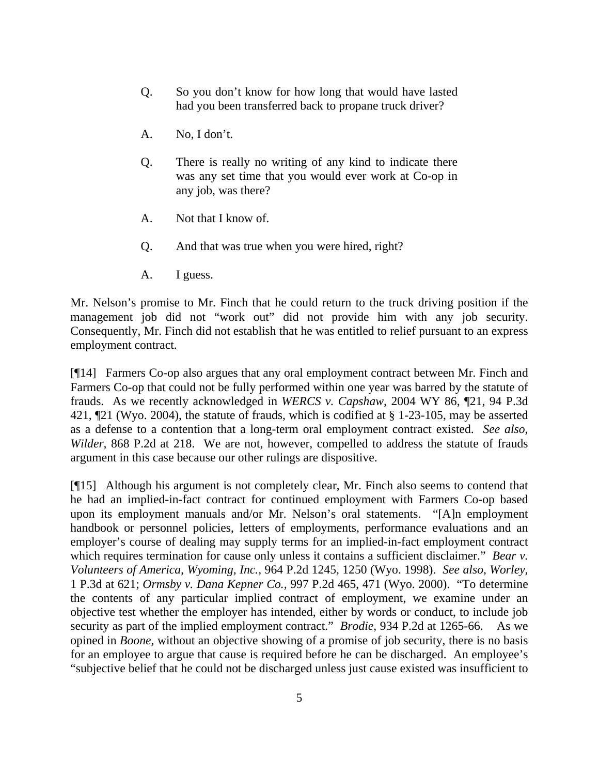- Q. So you don't know for how long that would have lasted had you been transferred back to propane truck driver?
- A. No, I don't.
- Q. There is really no writing of any kind to indicate there was any set time that you would ever work at Co-op in any job, was there?
- A. Not that I know of.
- Q. And that was true when you were hired, right?
- A. I guess.

Mr. Nelson's promise to Mr. Finch that he could return to the truck driving position if the management job did not "work out" did not provide him with any job security. Consequently, Mr. Finch did not establish that he was entitled to relief pursuant to an express employment contract.

[¶14] Farmers Co-op also argues that any oral employment contract between Mr. Finch and Farmers Co-op that could not be fully performed within one year was barred by the statute of frauds. As we recently acknowledged in *WERCS v. Capshaw,* 2004 WY 86, ¶21, 94 P.3d 421, ¶21 (Wyo. 2004), the statute of frauds, which is codified at § 1-23-105, may be asserted as a defense to a contention that a long-term oral employment contract existed. *See also*, *Wilder,* 868 P.2d at 218. We are not, however, compelled to address the statute of frauds argument in this case because our other rulings are dispositive.

[¶15] Although his argument is not completely clear, Mr. Finch also seems to contend that he had an implied-in-fact contract for continued employment with Farmers Co-op based upon its employment manuals and/or Mr. Nelson's oral statements. "[A]n employment handbook or personnel policies, letters of employments, performance evaluations and an employer's course of dealing may supply terms for an implied-in-fact employment contract which requires termination for cause only unless it contains a sufficient disclaimer." *Bear v. Volunteers of America, Wyoming, Inc.,* 964 P.2d 1245, 1250 (Wyo. 1998). *See also*, *Worley,*  1 P.3d at 621; *Ormsby v. Dana Kepner Co.,* 997 P.2d 465, 471 (Wyo. 2000). "To determine the contents of any particular implied contract of employment, we examine under an objective test whether the employer has intended, either by words or conduct, to include job security as part of the implied employment contract." *Brodie,* 934 P.2d at 1265-66. As we opined in *Boone,* without an objective showing of a promise of job security, there is no basis for an employee to argue that cause is required before he can be discharged. An employee's "subjective belief that he could not be discharged unless just cause existed was insufficient to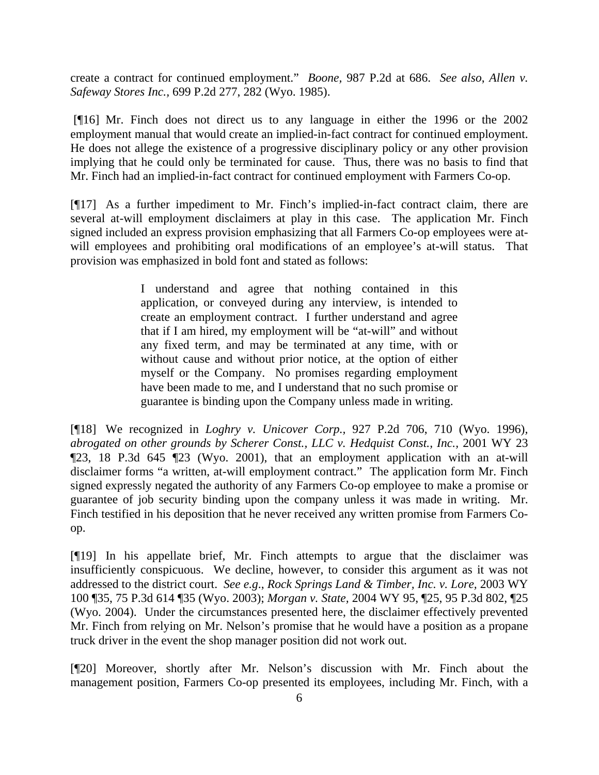create a contract for continued employment." *Boone,* 987 P.2d at 686. *See also*, *Allen v. Safeway Stores Inc.,* 699 P.2d 277, 282 (Wyo. 1985).

 [¶16] Mr. Finch does not direct us to any language in either the 1996 or the 2002 employment manual that would create an implied-in-fact contract for continued employment. He does not allege the existence of a progressive disciplinary policy or any other provision implying that he could only be terminated for cause. Thus, there was no basis to find that Mr. Finch had an implied-in-fact contract for continued employment with Farmers Co-op.

[¶17] As a further impediment to Mr. Finch's implied-in-fact contract claim, there are several at-will employment disclaimers at play in this case. The application Mr. Finch signed included an express provision emphasizing that all Farmers Co-op employees were atwill employees and prohibiting oral modifications of an employee's at-will status. That provision was emphasized in bold font and stated as follows:

> I understand and agree that nothing contained in this application, or conveyed during any interview, is intended to create an employment contract. I further understand and agree that if I am hired, my employment will be "at-will" and without any fixed term, and may be terminated at any time, with or without cause and without prior notice, at the option of either myself or the Company. No promises regarding employment have been made to me, and I understand that no such promise or guarantee is binding upon the Company unless made in writing.

[¶18] We recognized in *Loghry v. Unicover Corp.,* 927 P.2d 706, 710 (Wyo. 1996)*, abrogated on other grounds by Scherer Const., LLC v. Hedquist Const., Inc., 2001 WY 23* ¶23, 18 P.3d 645 ¶23 (Wyo. 2001), that an employment application with an at-will disclaimer forms "a written, at-will employment contract." The application form Mr. Finch signed expressly negated the authority of any Farmers Co-op employee to make a promise or guarantee of job security binding upon the company unless it was made in writing. Mr. Finch testified in his deposition that he never received any written promise from Farmers Coop.

[¶19] In his appellate brief, Mr. Finch attempts to argue that the disclaimer was insufficiently conspicuous. We decline, however, to consider this argument as it was not addressed to the district court. *See e.g*., *Rock Springs Land & Timber, Inc. v. Lore,* 2003 WY 100 ¶35, 75 P.3d 614 ¶35 (Wyo. 2003); *Morgan v. State,* 2004 WY 95, ¶25, 95 P.3d 802, ¶25 (Wyo. 2004). Under the circumstances presented here, the disclaimer effectively prevented Mr. Finch from relying on Mr. Nelson's promise that he would have a position as a propane truck driver in the event the shop manager position did not work out.

[¶20] Moreover, shortly after Mr. Nelson's discussion with Mr. Finch about the management position, Farmers Co-op presented its employees, including Mr. Finch, with a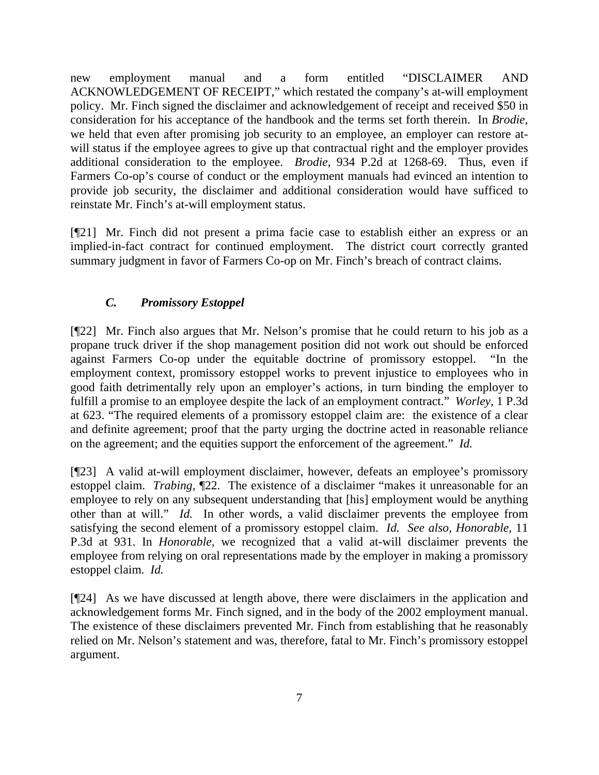new employment manual and a form entitled "DISCLAIMER AND ACKNOWLEDGEMENT OF RECEIPT," which restated the company's at-will employment policy. Mr. Finch signed the disclaimer and acknowledgement of receipt and received \$50 in consideration for his acceptance of the handbook and the terms set forth therein. In *Brodie,* we held that even after promising job security to an employee, an employer can restore atwill status if the employee agrees to give up that contractual right and the employer provides additional consideration to the employee. *Brodie*, 934 P.2d at 1268-69. Thus, even if Farmers Co-op's course of conduct or the employment manuals had evinced an intention to provide job security, the disclaimer and additional consideration would have sufficed to reinstate Mr. Finch's at-will employment status.

[¶21] Mr. Finch did not present a prima facie case to establish either an express or an implied-in-fact contract for continued employment. The district court correctly granted summary judgment in favor of Farmers Co-op on Mr. Finch's breach of contract claims.

# *C. Promissory Estoppel*

[¶22] Mr. Finch also argues that Mr. Nelson's promise that he could return to his job as a propane truck driver if the shop management position did not work out should be enforced against Farmers Co-op under the equitable doctrine of promissory estoppel. "In the employment context, promissory estoppel works to prevent injustice to employees who in good faith detrimentally rely upon an employer's actions, in turn binding the employer to fulfill a promise to an employee despite the lack of an employment contract." *Worley,* 1 P.3d at 623. "The required elements of a promissory estoppel claim are: the existence of a clear and definite agreement; proof that the party urging the doctrine acted in reasonable reliance on the agreement; and the equities support the enforcement of the agreement." *Id.* 

[¶23] A valid at-will employment disclaimer, however, defeats an employee's promissory estoppel claim. *Trabing,* ¶22. The existence of a disclaimer "makes it unreasonable for an employee to rely on any subsequent understanding that [his] employment would be anything other than at will." *Id.* In other words, a valid disclaimer prevents the employee from satisfying the second element of a promissory estoppel claim. *Id. See also, Honorable,* 11 P.3d at 931. In *Honorable,* we recognized that a valid at-will disclaimer prevents the employee from relying on oral representations made by the employer in making a promissory estoppel claim. *Id.*

[¶24] As we have discussed at length above, there were disclaimers in the application and acknowledgement forms Mr. Finch signed, and in the body of the 2002 employment manual. The existence of these disclaimers prevented Mr. Finch from establishing that he reasonably relied on Mr. Nelson's statement and was, therefore, fatal to Mr. Finch's promissory estoppel argument.